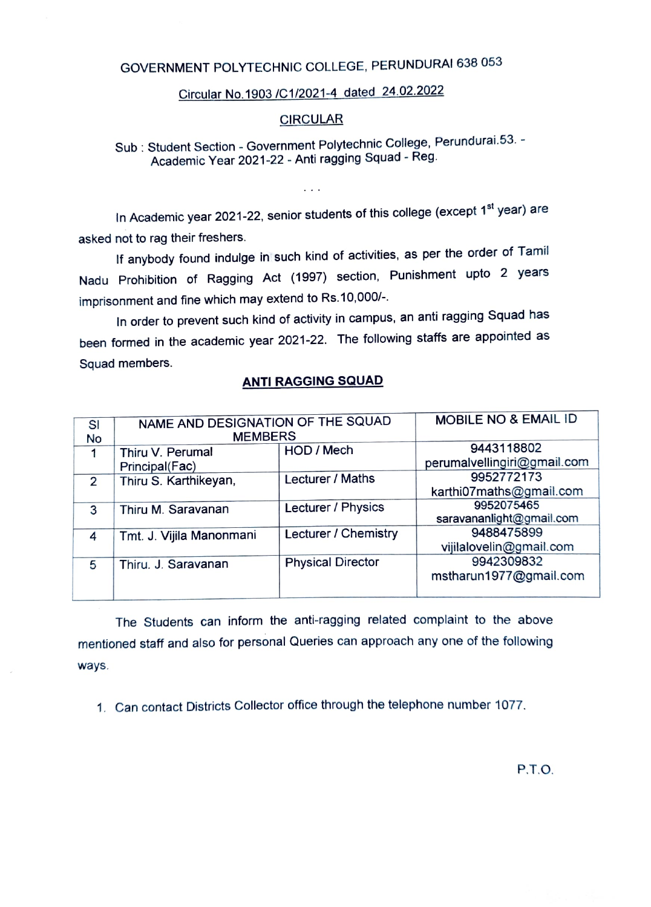## GOVERNMENT POLYTECHNIC COLLEGE, PERUNDURAI 638 053

## Circular No 1903 /C1/2021-4 dated 24.02.2022

## **CIRCULAR**

Sub: Student Section - Government Polytechnic College, Perundurai.53. -Academic Year 2021-22 - Anti ragging Squad - Reg.

In Academic year 2021-22, senior students of this college (except 1<sup>st</sup> year) are asked not to rag their freshers.

 $\cdots$ 

If anybody found indulge in such kind of activities, as per the order of Tamil Nadu Prohibition of Ragging Act (1997) section, Punishment upto 2 years imprisonment and fine which may extend to Rs.10,000/-.

In order to prevent such kind of activity in campus, an anti ragging Squad has been formed in the academic year 2021-22. The following staffs are appointed as Squad members.

## ANTI RAGGING SQUAD

| SI<br>No       | NAME AND DESIGNATION OF THE SQUAD<br><b>MEMBERS</b> |                          | MOBILE NO & EMAIL ID                      |
|----------------|-----------------------------------------------------|--------------------------|-------------------------------------------|
| 1              | Thiru V. Perumal<br>Principal(Fac)                  | HOD / Mech               | 9443118802<br>perumalvellingiri@gmail.com |
| $\mathcal{P}$  | Thiru S. Karthikeyan,                               | Lecturer / Maths         | 9952772173<br>karthi07maths@gmail.com     |
| 3              | Thiru M. Saravanan                                  | Lecturer / Physics       | 9952075465<br>saravananlight@gmail.com    |
| $\overline{4}$ | Tmt. J. Vijila Manonmani                            | Lecturer / Chemistry     | 9488475899<br>vijilalovelin@gmail.com     |
| 5              | Thiru. J. Saravanan                                 | <b>Physical Director</b> | 9942309832<br>mstharun1977@gmail.com      |

The Students can inform the anti-ragging related complaint to the above mentioned staff and also for personal Queries can approach any one of the following ways.

1. Can contact Districts Collector office through the telephone number 1077.

P.T.O